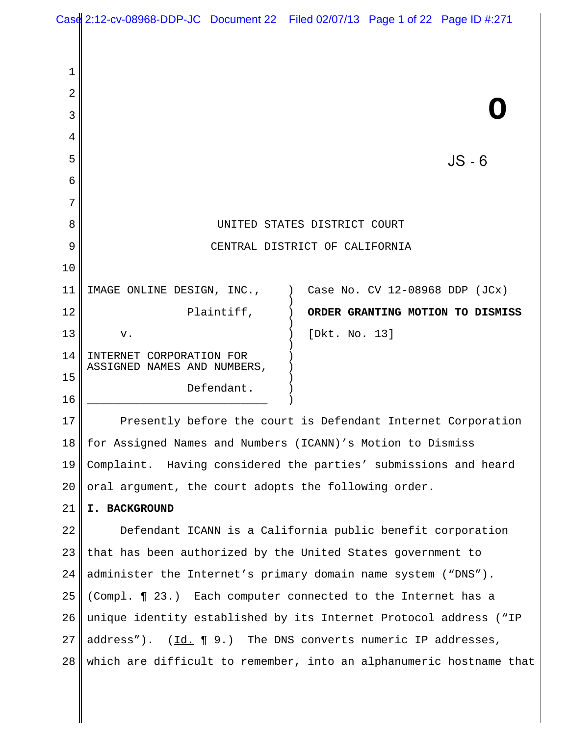|                | Case 2:12-cv-08968-DDP-JC Document 22 Filed 02/07/13 Page 1 of 22 Page ID #:271 |
|----------------|---------------------------------------------------------------------------------|
|                |                                                                                 |
| $\mathbf 1$    |                                                                                 |
| 2              |                                                                                 |
| 3              |                                                                                 |
| $\overline{4}$ |                                                                                 |
| 5              | $JS - 6$                                                                        |
| 6              |                                                                                 |
| 7              |                                                                                 |
| 8              | UNITED STATES DISTRICT COURT                                                    |
| 9              | CENTRAL DISTRICT OF CALIFORNIA                                                  |
| 10             |                                                                                 |
| 11             | IMAGE ONLINE DESIGN, INC.,<br>Case No. CV $12-08968$ DDP $(JCx)$                |
| 12             | Plaintiff,<br>ORDER GRANTING MOTION TO DISMISS                                  |
| 13             | [Dkt. No. 13]<br>v.                                                             |
| 14             | INTERNET CORPORATION FOR<br>ASSIGNED NAMES AND NUMBERS,                         |
| 15             | Defendant.                                                                      |
| 16             |                                                                                 |
| 17             | Presently before the court is Defendant Internet Corporation                    |
| 18             | for Assigned Names and Numbers (ICANN)'s Motion to Dismiss                      |
| 19             | Complaint. Having considered the parties' submissions and heard                 |
| 20             | oral argument, the court adopts the following order.                            |
| 21             | I. BACKGROUND                                                                   |
| 22             | Defendant ICANN is a California public benefit corporation                      |
| 23             | that has been authorized by the United States government to                     |
| 24             | administer the Internet's primary domain name system ("DNS").                   |
| 25             | (Compl. ¶ 23.) Each computer connected to the Internet has a                    |
| 26             | unique identity established by its Internet Protocol address ("IP               |
| 27             | address").<br>$(\underline{Id.} \P 9.)$ The DNS converts numeric IP addresses,  |
| 28             | which are difficult to remember, into an alphanumeric hostname that             |

∥

 $\parallel$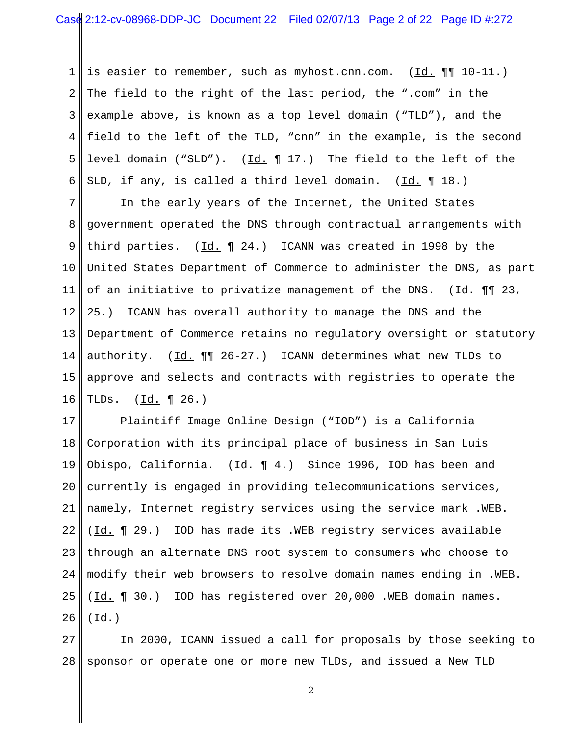1 2 3 4 5 6 is easier to remember, such as myhost.cnn.com. (Id. ¶¶ 10-11.) The field to the right of the last period, the ".com" in the example above, is known as a top level domain ("TLD"), and the field to the left of the TLD, "cnn" in the example, is the second level domain ("SLD"). (Id.  $\P$  17.) The field to the left of the SLD, if any, is called a third level domain. (Id. 18.)

7 8 9 10 11 12 13 14 15 16 In the early years of the Internet, the United States government operated the DNS through contractual arrangements with third parties.  $(\underline{Id.} \P 24.)$  ICANN was created in 1998 by the United States Department of Commerce to administer the DNS, as part of an initiative to privatize management of the DNS. (Id. ¶¶ 23, 25.) ICANN has overall authority to manage the DNS and the Department of Commerce retains no regulatory oversight or statutory authority. (Id. ¶¶ 26-27.) ICANN determines what new TLDs to approve and selects and contracts with registries to operate the TLDs. (Id. ¶ 26.)

17 18 19 20 21 22 23 24 25 26 Plaintiff Image Online Design ("IOD") is a California Corporation with its principal place of business in San Luis Obispo, California. ( $\underline{Id.} \P 4.$ ) Since 1996, IOD has been and currently is engaged in providing telecommunications services, namely, Internet registry services using the service mark .WEB. (Id. 1 29.) IOD has made its .WEB registry services available through an alternate DNS root system to consumers who choose to modify their web browsers to resolve domain names ending in .WEB. (Id. ¶ 30.) IOD has registered over 20,000 .WEB domain names.  $(\underline{Id.})$ 

27 28 In 2000, ICANN issued a call for proposals by those seeking to sponsor or operate one or more new TLDs, and issued a New TLD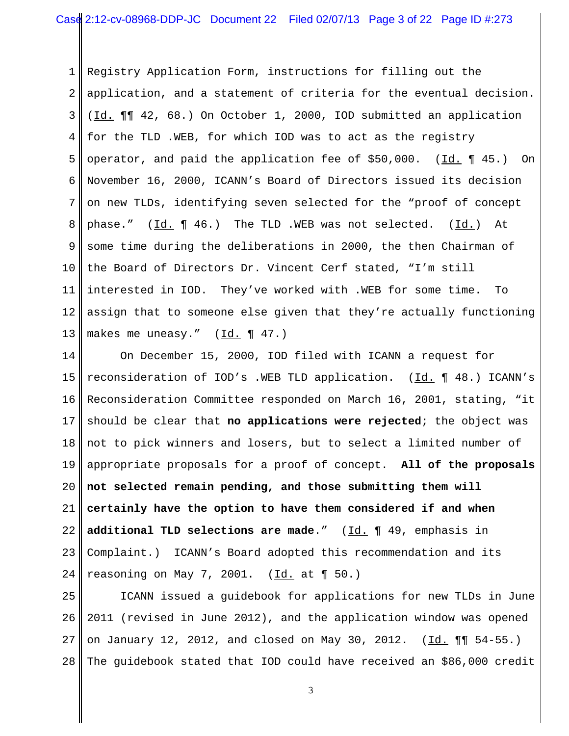1 2 3 4 5 6 7 8 9 10 11 12 13 Registry Application Form, instructions for filling out the application, and a statement of criteria for the eventual decision. (Id. ¶¶ 42, 68.) On October 1, 2000, IOD submitted an application for the TLD .WEB, for which IOD was to act as the registry operator, and paid the application fee of \$50,000. (Id. ¶ 45.) On November 16, 2000, ICANN's Board of Directors issued its decision on new TLDs, identifying seven selected for the "proof of concept phase."  $(\underline{Id.} \P 46.)$  The TLD .WEB was not selected.  $(\underline{Id.})$  At some time during the deliberations in 2000, the then Chairman of the Board of Directors Dr. Vincent Cerf stated, "I'm still interested in IOD. They've worked with .WEB for some time. To assign that to someone else given that they're actually functioning makes me uneasy."  $(\underline{Id.} \P 47.)$ 

14 15 16 17 18 19 20 21 22 23 24 On December 15, 2000, IOD filed with ICANN a request for reconsideration of IOD's .WEB TLD application. (Id. ¶ 48.) ICANN's Reconsideration Committee responded on March 16, 2001, stating, "it should be clear that **no applications were rejected**; the object was not to pick winners and losers, but to select a limited number of appropriate proposals for a proof of concept. **All of the proposals not selected remain pending, and those submitting them will certainly have the option to have them considered if and when additional TLD selections are made**." (Id. ¶ 49, emphasis in Complaint.) ICANN's Board adopted this recommendation and its reasoning on May 7, 2001.  $(\underline{Id.}$  at  $\P 50.)$ 

25 26 27 28 ICANN issued a guidebook for applications for new TLDs in June 2011 (revised in June 2012), and the application window was opened on January 12, 2012, and closed on May 30, 2012. (Id.  $\P\P$  54-55.) The guidebook stated that IOD could have received an \$86,000 credit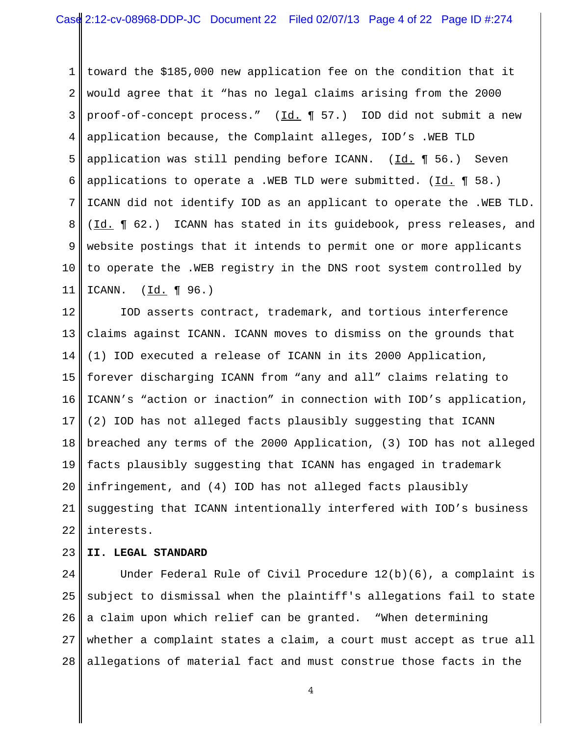1 2 3 4 5 6 7 8 9 10 11 toward the \$185,000 new application fee on the condition that it would agree that it "has no legal claims arising from the 2000 proof-of-concept process." (Id. ¶ 57.) IOD did not submit a new application because, the Complaint alleges, IOD's .WEB TLD application was still pending before ICANN. (Id.  $\P$  56.) Seven applications to operate a .WEB TLD were submitted.  $(\underline{Id.} \P 58.)$ ICANN did not identify IOD as an applicant to operate the .WEB TLD. (Id. 1 62.) ICANN has stated in its guidebook, press releases, and website postings that it intends to permit one or more applicants to operate the .WEB registry in the DNS root system controlled by ICANN. (Id. ¶ 96.)

12 13 14 15 16 17 18 19 20 21 22 IOD asserts contract, trademark, and tortious interference claims against ICANN. ICANN moves to dismiss on the grounds that (1) IOD executed a release of ICANN in its 2000 Application, forever discharging ICANN from "any and all" claims relating to ICANN's "action or inaction" in connection with IOD's application, (2) IOD has not alleged facts plausibly suggesting that ICANN breached any terms of the 2000 Application, (3) IOD has not alleged facts plausibly suggesting that ICANN has engaged in trademark infringement, and (4) IOD has not alleged facts plausibly suggesting that ICANN intentionally interfered with IOD's business interests.

#### 23 **II. LEGAL STANDARD**

24 25 26 27 28 Under Federal Rule of Civil Procedure 12(b)(6), a complaint is subject to dismissal when the plaintiff's allegations fail to state a claim upon which relief can be granted. "When determining whether a complaint states a claim, a court must accept as true all allegations of material fact and must construe those facts in the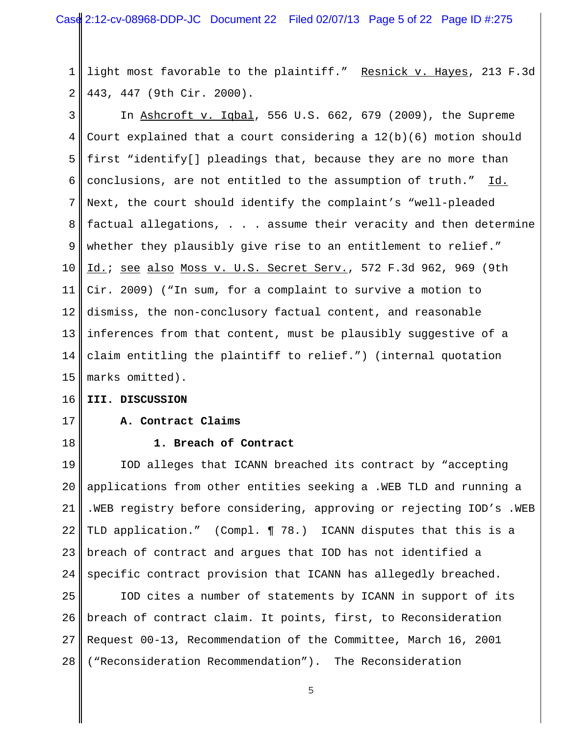1 2 light most favorable to the plaintiff." Resnick v. Hayes, 213 F.3d 443, 447 (9th Cir. 2000).

3 4 5 6 7 8 9 10 11 12 13 14 15 In Ashcroft v. Iqbal, 556 U.S. 662, 679 (2009), the Supreme Court explained that a court considering a  $12(b)(6)$  motion should first "identify[] pleadings that, because they are no more than conclusions, are not entitled to the assumption of truth." Id. Next, the court should identify the complaint's "well-pleaded factual allegations, . . . assume their veracity and then determine whether they plausibly give rise to an entitlement to relief." Id.; see also Moss v. U.S. Secret Serv., 572 F.3d 962, 969 (9th Cir. 2009) ("In sum, for a complaint to survive a motion to dismiss, the non-conclusory factual content, and reasonable inferences from that content, must be plausibly suggestive of a claim entitling the plaintiff to relief.") (internal quotation marks omitted).

#### 16 **III. DISCUSSION**

17 18

## **A. Contract Claims**

#### **1. Breach of Contract**

19 20 21 22 23 24 IOD alleges that ICANN breached its contract by "accepting applications from other entities seeking a .WEB TLD and running a .WEB registry before considering, approving or rejecting IOD's .WEB TLD application." (Compl. ¶ 78.) ICANN disputes that this is a breach of contract and argues that IOD has not identified a specific contract provision that ICANN has allegedly breached.

25 26 27 28 IOD cites a number of statements by ICANN in support of its breach of contract claim. It points, first, to Reconsideration Request 00-13, Recommendation of the Committee, March 16, 2001 ("Reconsideration Recommendation"). The Reconsideration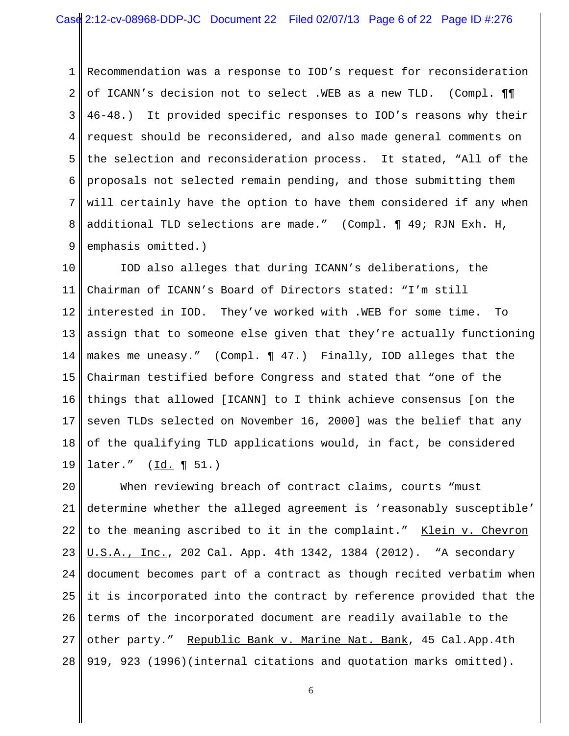1 2 3 4 5 6 7 8 9 Recommendation was a response to IOD's request for reconsideration of ICANN's decision not to select .WEB as a new TLD. (Compl. ¶¶ 46-48.) It provided specific responses to IOD's reasons why their request should be reconsidered, and also made general comments on the selection and reconsideration process. It stated, "All of the proposals not selected remain pending, and those submitting them will certainly have the option to have them considered if any when additional TLD selections are made." (Compl. ¶ 49; RJN Exh. H, emphasis omitted.)

10 11 12 13 14 15 16 17 18 19 IOD also alleges that during ICANN's deliberations, the Chairman of ICANN's Board of Directors stated: "I'm still interested in IOD. They've worked with .WEB for some time. To assign that to someone else given that they're actually functioning makes me uneasy." (Compl. ¶ 47.) Finally, IOD alleges that the Chairman testified before Congress and stated that "one of the things that allowed [ICANN] to I think achieve consensus [on the seven TLDs selected on November 16, 2000] was the belief that any of the qualifying TLD applications would, in fact, be considered later."  $(\underline{Id.} \P 51.)$ 

20 21 22 23 24 25 26 27 28 When reviewing breach of contract claims, courts "must determine whether the alleged agreement is 'reasonably susceptible' to the meaning ascribed to it in the complaint." Klein v. Chevron U.S.A., Inc., 202 Cal. App. 4th 1342, 1384 (2012). "A secondary document becomes part of a contract as though recited verbatim when it is incorporated into the contract by reference provided that the terms of the incorporated document are readily available to the other party." Republic Bank v. Marine Nat. Bank, 45 Cal.App.4th 919, 923 (1996)(internal citations and quotation marks omitted).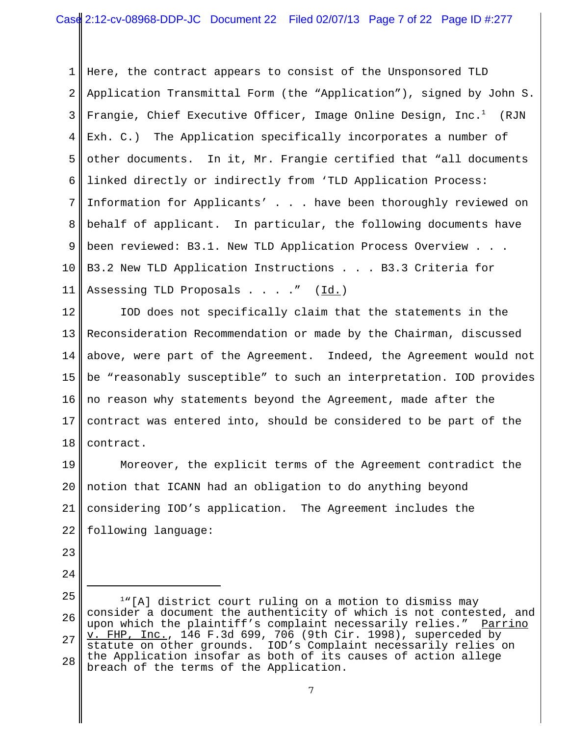1 2 3 4 5 6 7 8 9 10 11 Here, the contract appears to consist of the Unsponsored TLD Application Transmittal Form (the "Application"), signed by John S. Frangie, Chief Executive Officer, Image Online Design, Inc. $^1$  (RJN Exh. C.) The Application specifically incorporates a number of other documents. In it, Mr. Frangie certified that "all documents linked directly or indirectly from 'TLD Application Process: Information for Applicants' . . . have been thoroughly reviewed on behalf of applicant. In particular, the following documents have been reviewed: B3.1. New TLD Application Process Overview. B3.2 New TLD Application Instructions . . . B3.3 Criteria for Assessing TLD Proposals . . . . " (Id.)

12 13 14 15 16 17 18 IOD does not specifically claim that the statements in the Reconsideration Recommendation or made by the Chairman, discussed above, were part of the Agreement. Indeed, the Agreement would not be "reasonably susceptible" to such an interpretation. IOD provides no reason why statements beyond the Agreement, made after the contract was entered into, should be considered to be part of the contract.

19 20 21 22 Moreover, the explicit terms of the Agreement contradict the notion that ICANN had an obligation to do anything beyond considering IOD's application. The Agreement includes the following language:

23  $2.4$ 

25 26 27 28 <sup>1</sup>"[A] district court ruling on a motion to dismiss may consider a document the authenticity of which is not contested, and upon which the plaintiff's complaint necessarily relies." Parrino v. FHP, Inc., 146 F.3d 699, 706 (9th Cir. 1998), superceded by statute on other grounds. IOD's Complaint necessarily relies on the Application insofar as both of its causes of action allege breach of the terms of the Application.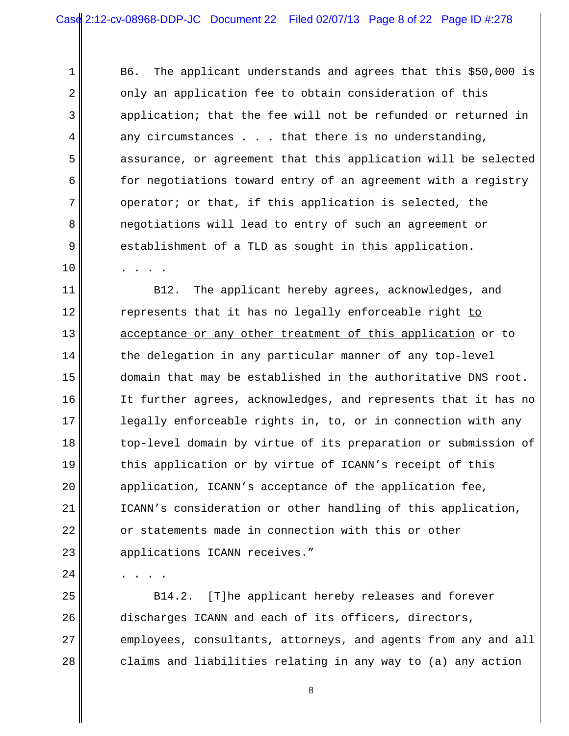B6. The applicant understands and agrees that this \$50,000 is only an application fee to obtain consideration of this application; that the fee will not be refunded or returned in any circumstances . . . that there is no understanding, assurance, or agreement that this application will be selected for negotiations toward entry of an agreement with a registry operator; or that, if this application is selected, the negotiations will lead to entry of such an agreement or establishment of a TLD as sought in this application. . . . .

11 12 13 14 15 16 17 18 19 20 21 22 23 B12. The applicant hereby agrees, acknowledges, and represents that it has no legally enforceable right to acceptance or any other treatment of this application or to the delegation in any particular manner of any top-level domain that may be established in the authoritative DNS root. It further agrees, acknowledges, and represents that it has no legally enforceable rights in, to, or in connection with any top-level domain by virtue of its preparation or submission of this application or by virtue of ICANN's receipt of this application, ICANN's acceptance of the application fee, ICANN's consideration or other handling of this application, or statements made in connection with this or other applications ICANN receives."

. . . .

1

2

3

4

5

6

7

8

9

10

 $2.4$ 

25 26 27 28 B14.2. [T]he applicant hereby releases and forever discharges ICANN and each of its officers, directors, employees, consultants, attorneys, and agents from any and all claims and liabilities relating in any way to (a) any action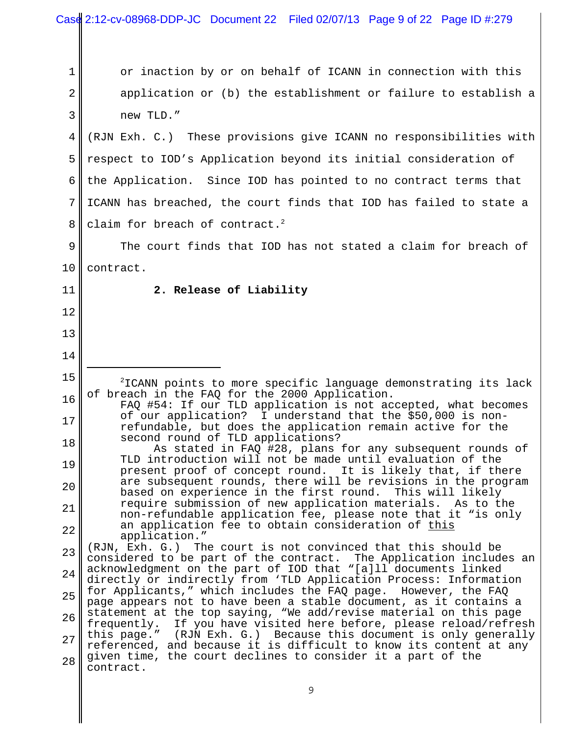| 1        | or inaction by or on behalf of ICANN in connection with this                                                                                                                  |
|----------|-------------------------------------------------------------------------------------------------------------------------------------------------------------------------------|
| 2        | application or (b) the establishment or failure to establish a                                                                                                                |
| 3        | new TLD."                                                                                                                                                                     |
| 4        | (RJN Exh. C.) These provisions give ICANN no responsibilities with                                                                                                            |
| 5        | respect to IOD's Application beyond its initial consideration of                                                                                                              |
| 6        | the Application. Since IOD has pointed to no contract terms that                                                                                                              |
| 7        | ICANN has breached, the court finds that IOD has failed to state a                                                                                                            |
| 8        | claim for breach of contract. <sup>2</sup>                                                                                                                                    |
| 9        | The court finds that IOD has not stated a claim for breach of                                                                                                                 |
| 10       | contract.                                                                                                                                                                     |
| 11       | 2. Release of Liability                                                                                                                                                       |
| 12       |                                                                                                                                                                               |
| 13       |                                                                                                                                                                               |
| 14       |                                                                                                                                                                               |
| 15       | <sup>2</sup> ICANN points to more specific language demonstrating its lack                                                                                                    |
| 16       | of breach in the FAQ for the 2000 Application.<br>FAQ #54: If our TLD application is not accepted, what becomes<br>of our application? I understand that the \$50,000 is non- |
| 17       | refundable, but does the application remain active for the<br>second round of TLD applications?                                                                               |
| 18       | As stated in FAQ #28, plans for any subsequent rounds of<br>TLD introduction will not be made until evaluation of the                                                         |
| 19       | present proof of concept round. It is likely that, if there<br>are subsequent rounds, there will be revisions in the program                                                  |
| 20       | based on experience in the first round. This will likely<br>require submission of new application materials. As to the                                                        |
| 21       | non-refundable application fee, please note that it "is only                                                                                                                  |
| 22       | an application fee to obtain consideration of this                                                                                                                            |
|          | application."<br>The court is not convinced that this should be<br>(RJN, Exh. G.)                                                                                             |
| 23       | considered to be part of the contract. The Application includes an<br>acknowledgment on the part of IOD that "[a]ll documents linked                                          |
| 24       | directly or indirectly from 'TLD Application Process: Information<br>for Applicants," which includes the FAQ page.<br>However, the FAQ                                        |
| 25       | page appears not to have been a stable document, as it contains a<br>statement at the top saying, "We add/revise material on this page                                        |
| 26       | If you have visited here before, please reload/refresh<br>frequently.<br>this page." (RJN Exh. G.) Because this document is only generally                                    |
| 27<br>28 | referenced, and because it is difficult to know its content at any<br>given time, the court declines to consider it a part of the<br>contract.                                |

 $\parallel$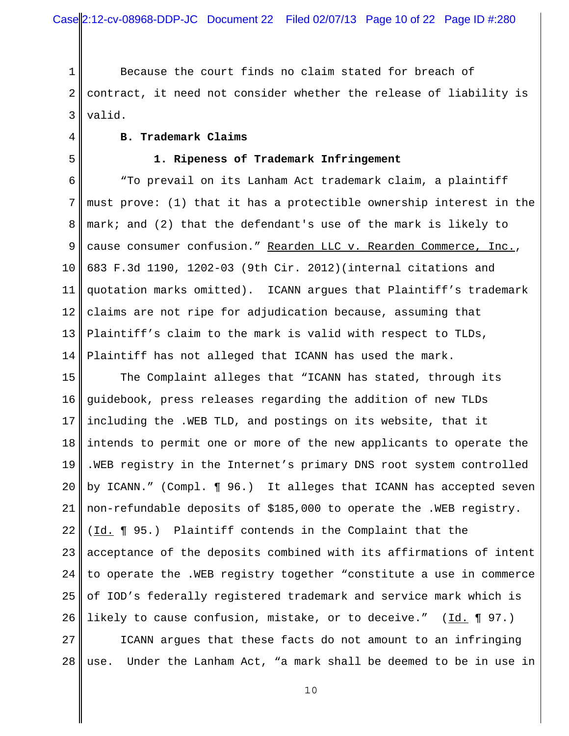1 2 3 Because the court finds no claim stated for breach of contract, it need not consider whether the release of liability is valid.

4

### **B. Trademark Claims**

5

#### **1. Ripeness of Trademark Infringement**

6 7 8 9 10 11 12 13 14 "To prevail on its Lanham Act trademark claim, a plaintiff must prove: (1) that it has a protectible ownership interest in the mark; and (2) that the defendant's use of the mark is likely to cause consumer confusion." Rearden LLC v. Rearden Commerce, Inc., 683 F.3d 1190, 1202-03 (9th Cir. 2012)(internal citations and quotation marks omitted). ICANN argues that Plaintiff's trademark claims are not ripe for adjudication because, assuming that Plaintiff's claim to the mark is valid with respect to TLDs, Plaintiff has not alleged that ICANN has used the mark.

15 16 17 18 19 20 21 22 23 24 25 26 The Complaint alleges that "ICANN has stated, through its guidebook, press releases regarding the addition of new TLDs including the .WEB TLD, and postings on its website, that it intends to permit one or more of the new applicants to operate the .WEB registry in the Internet's primary DNS root system controlled by ICANN." (Compl. ¶ 96.) It alleges that ICANN has accepted seven non-refundable deposits of \$185,000 to operate the .WEB registry. (Id. ¶ 95.) Plaintiff contends in the Complaint that the acceptance of the deposits combined with its affirmations of intent to operate the .WEB registry together "constitute a use in commerce of IOD's federally registered trademark and service mark which is likely to cause confusion, mistake, or to deceive."  $(\underline{Id.} \P 97.)$ 

27 28 ICANN argues that these facts do not amount to an infringing use. Under the Lanham Act, "a mark shall be deemed to be in use in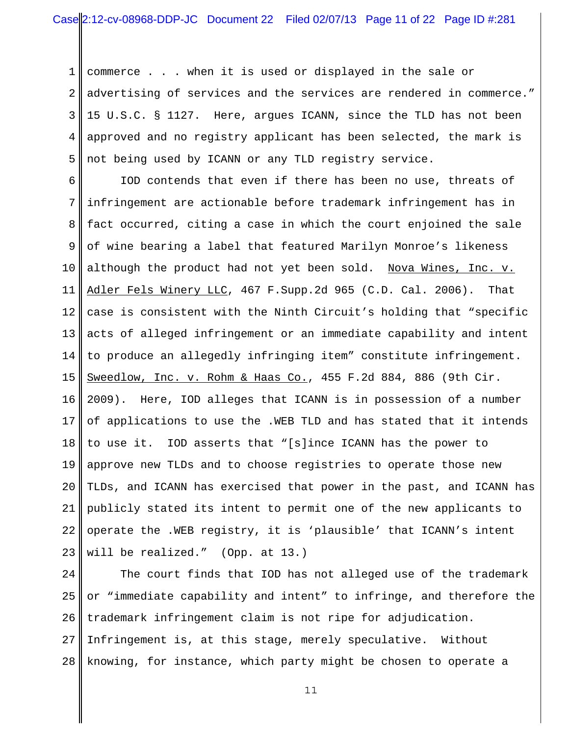1 2 3 4 5 commerce . . . when it is used or displayed in the sale or advertising of services and the services are rendered in commerce." 15 U.S.C. § 1127. Here, argues ICANN, since the TLD has not been approved and no registry applicant has been selected, the mark is not being used by ICANN or any TLD registry service.

6 7 8 9 10 11 12 13 14 15 16 17 18 19 20 21 22 23 IOD contends that even if there has been no use, threats of infringement are actionable before trademark infringement has in fact occurred, citing a case in which the court enjoined the sale of wine bearing a label that featured Marilyn Monroe's likeness although the product had not yet been sold. Nova Wines, Inc. v. Adler Fels Winery LLC, 467 F.Supp.2d 965 (C.D. Cal. 2006). That case is consistent with the Ninth Circuit's holding that "specific acts of alleged infringement or an immediate capability and intent to produce an allegedly infringing item" constitute infringement. Sweedlow, Inc. v. Rohm & Haas Co., 455 F.2d 884, 886 (9th Cir. 2009). Here, IOD alleges that ICANN is in possession of a number of applications to use the .WEB TLD and has stated that it intends to use it. IOD asserts that "[s]ince ICANN has the power to approve new TLDs and to choose registries to operate those new TLDs, and ICANN has exercised that power in the past, and ICANN has publicly stated its intent to permit one of the new applicants to operate the .WEB registry, it is 'plausible' that ICANN's intent will be realized." (Opp. at 13.)

 $2.4$ 25 26 27 28 The court finds that IOD has not alleged use of the trademark or "immediate capability and intent" to infringe, and therefore the trademark infringement claim is not ripe for adjudication. Infringement is, at this stage, merely speculative. Without knowing, for instance, which party might be chosen to operate a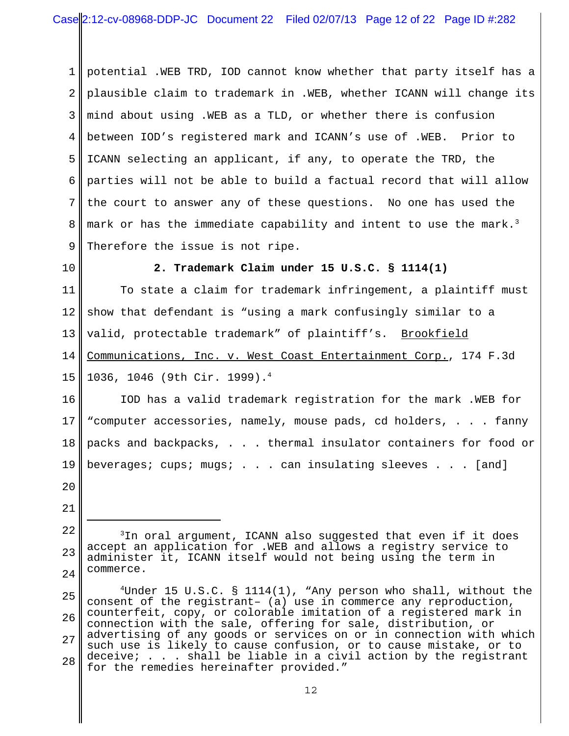1 2 3 4 5 6 7 8 9 potential .WEB TRD, IOD cannot know whether that party itself has a plausible claim to trademark in .WEB, whether ICANN will change its mind about using .WEB as a TLD, or whether there is confusion between IOD's registered mark and ICANN's use of .WEB. Prior to ICANN selecting an applicant, if any, to operate the TRD, the parties will not be able to build a factual record that will allow the court to answer any of these questions. No one has used the mark or has the immediate capability and intent to use the mark. $^3$ Therefore the issue is not ripe.

10

#### **2. Trademark Claim under 15 U.S.C. § 1114(1)**

11 12 13 14 15 To state a claim for trademark infringement, a plaintiff must show that defendant is "using a mark confusingly similar to a valid, protectable trademark" of plaintiff's. Brookfield Communications, Inc. v. West Coast Entertainment Corp., 174 F.3d 1036, 1046 (9th Cir. 1999).4

16 17 18 19 IOD has a valid trademark registration for the mark .WEB for "computer accessories, namely, mouse pads, cd holders, . . . fanny packs and backpacks, . . . thermal insulator containers for food or beverages; cups; mugs; . . . can insulating sleeves . . . [and]

<sup>22</sup> 23  $2.4$ <sup>3</sup>In oral argument, ICANN also suggested that even if it does accept an application for .WEB and allows a registry service to administer it, ICANN itself would not being using the term in commerce.

<sup>25</sup> 26 27 28 4Under 15 U.S.C. § 1114(1), "Any person who shall, without the consent of the registrant– (a) use in commerce any reproduction, counterfeit, copy, or colorable imitation of a registered mark in connection with the sale, offering for sale, distribution, or advertising of any goods or services on or in connection with which such use is likely to cause confusion, or to cause mistake, or to deceive; . . . shall be liable in a civil action by the registrant for the remedies hereinafter provided."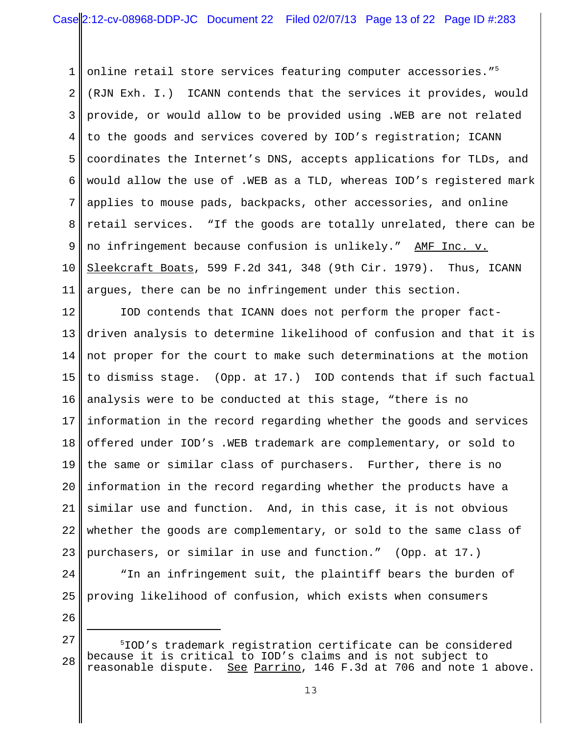1 2 3 4 5 6 7 8 9 10 11 online retail store services featuring computer accessories."<sup>5</sup> (RJN Exh. I.) ICANN contends that the services it provides, would provide, or would allow to be provided using .WEB are not related to the goods and services covered by IOD's registration; ICANN coordinates the Internet's DNS, accepts applications for TLDs, and would allow the use of .WEB as a TLD, whereas IOD's registered mark applies to mouse pads, backpacks, other accessories, and online retail services. "If the goods are totally unrelated, there can be no infringement because confusion is unlikely." AMF Inc. v. Sleekcraft Boats, 599 F.2d 341, 348 (9th Cir. 1979). Thus, ICANN argues, there can be no infringement under this section.

12 13 14 15 16 17 18 19 20 21 22 23 IOD contends that ICANN does not perform the proper factdriven analysis to determine likelihood of confusion and that it is not proper for the court to make such determinations at the motion to dismiss stage. (Opp. at 17.) IOD contends that if such factual analysis were to be conducted at this stage, "there is no information in the record regarding whether the goods and services offered under IOD's .WEB trademark are complementary, or sold to the same or similar class of purchasers. Further, there is no information in the record regarding whether the products have a similar use and function. And, in this case, it is not obvious whether the goods are complementary, or sold to the same class of purchasers, or similar in use and function." (Opp. at 17.)

 $2.4$ 25 "In an infringement suit, the plaintiff bears the burden of proving likelihood of confusion, which exists when consumers

<sup>27</sup> 28 5 IOD's trademark registration certificate can be considered because it is critical to IOD's claims and is not subject to See Parrino, 146 F.3d at 706 and note 1 above.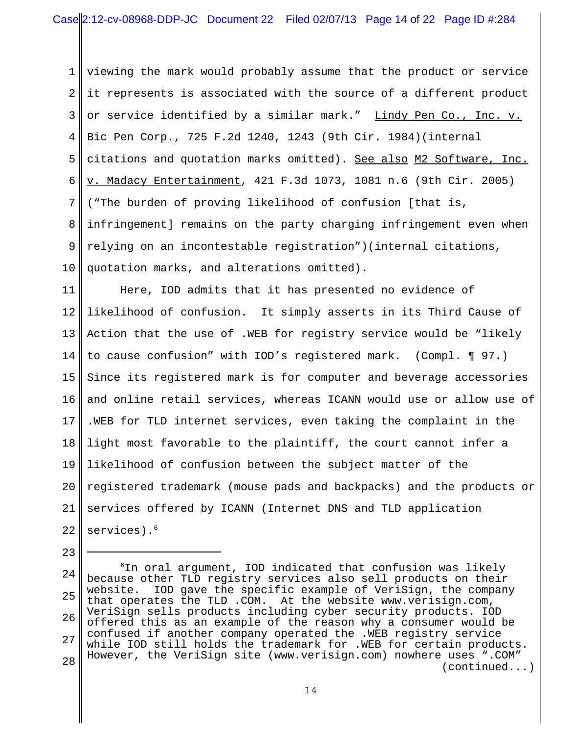1 2 3 4 5 6 7 8 9 10 viewing the mark would probably assume that the product or service it represents is associated with the source of a different product or service identified by a similar mark." Lindy Pen Co., Inc. v. Bic Pen Corp., 725 F.2d 1240, 1243 (9th Cir. 1984)(internal citations and quotation marks omitted). See also M2 Software, Inc. v. Madacy Entertainment, 421 F.3d 1073, 1081 n.6 (9th Cir. 2005) ("The burden of proving likelihood of confusion [that is, infringement] remains on the party charging infringement even when relying on an incontestable registration")(internal citations, quotation marks, and alterations omitted).

11 12 13 14 15 16 17 18 19 20 21 22 Here, IOD admits that it has presented no evidence of likelihood of confusion. It simply asserts in its Third Cause of Action that the use of .WEB for registry service would be "likely to cause confusion" with IOD's registered mark. (Compl. ¶ 97.) Since its registered mark is for computer and beverage accessories and online retail services, whereas ICANN would use or allow use of .WEB for TLD internet services, even taking the complaint in the light most favorable to the plaintiff, the court cannot infer a likelihood of confusion between the subject matter of the registered trademark (mouse pads and backpacks) and the products or services offered by ICANN (Internet DNS and TLD application services).<sup>6</sup>

<sup>24</sup> 25 26 27 28  $6$ In oral argument, IOD indicated that confusion was likely because other TLD registry services also sell products on their website. IOD gave the specific example of VeriSign, the company that operates the TLD .COM. At the website www.verisign.com, VeriSign sells products including cyber security products. IOD offered this as an example of the reason why a consumer would be confused if another company operated the .WEB registry service while IOD still holds the trademark for .WEB for certain products. However, the VeriSign site (www.verisign.com) nowhere uses ".COM" (continued...)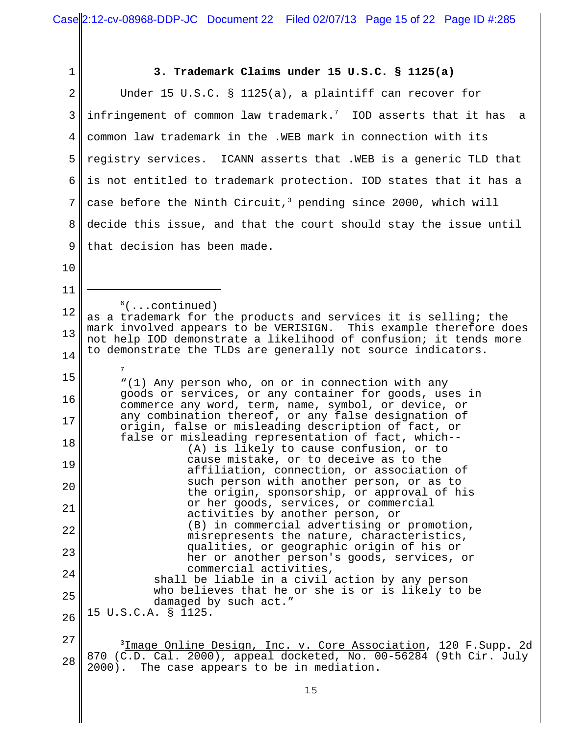| 1                                                                                                                                             | 3. Trademark Claims under 15 U.S.C. § 1125(a)                                                                                                     |
|-----------------------------------------------------------------------------------------------------------------------------------------------|---------------------------------------------------------------------------------------------------------------------------------------------------|
| $\overline{2}$                                                                                                                                | Under 15 U.S.C. § 1125(a), a plaintiff can recover for                                                                                            |
| 3                                                                                                                                             | infringement of common law trademark. $7$ IOD asserts that it has<br>a a                                                                          |
| 4                                                                                                                                             | common law trademark in the .WEB mark in connection with its                                                                                      |
| 5                                                                                                                                             | registry services. ICANN asserts that . WEB is a generic TLD that                                                                                 |
| 6                                                                                                                                             | is not entitled to trademark protection. IOD states that it has a                                                                                 |
| 7                                                                                                                                             | case before the Ninth Circuit, <sup>3</sup> pending since 2000, which will                                                                        |
| 8                                                                                                                                             | decide this issue, and that the court should stay the issue until                                                                                 |
| 9                                                                                                                                             | that decision has been made.                                                                                                                      |
| 10                                                                                                                                            |                                                                                                                                                   |
| 11                                                                                                                                            |                                                                                                                                                   |
| 12                                                                                                                                            | $6(\ldots \text{continued})$<br>as a trademark for the products and services it is selling; the                                                   |
| 13<br>not help IOD demonstrate a likelihood of confusion; it tends more<br>to demonstrate the TLDs are generally not source indicators.<br>14 | mark involved appears to be VERISIGN. This example therefore does                                                                                 |
|                                                                                                                                               |                                                                                                                                                   |
| 15                                                                                                                                            | $7\overline{ }$<br>"(1) Any person who, on or in connection with any                                                                              |
| 16                                                                                                                                            | goods or services, or any container for goods, uses in<br>commerce any word, term, name, symbol, or device, or                                    |
| 17                                                                                                                                            | any combination thereof, or any false designation of<br>origin, false or misleading description of fact, or                                       |
| 18                                                                                                                                            | false or misleading representation of fact, which--<br>(A) is likely to cause confusion, or to                                                    |
| 19                                                                                                                                            | cause mistake, or to deceive as to the<br>affiliation, connection, or association of                                                              |
| 20                                                                                                                                            | such person with another person, or as to<br>the origin, sponsorship, or approval of his                                                          |
| 21                                                                                                                                            | or her goods, services, or commercial<br>activities by another person, or                                                                         |
| 22                                                                                                                                            | (B) in commercial advertising or promotion,                                                                                                       |
| 23                                                                                                                                            | misrepresents the nature, characteristics,<br>qualities, or geographic origin of his or                                                           |
| 24                                                                                                                                            | her or another person's goods, services, or<br>commercial activities,                                                                             |
| 25                                                                                                                                            | shall be liable in a civil action by any person<br>who believes that he or she is or is likely to be                                              |
| 26                                                                                                                                            | damaged by such act."<br>15 U.S.C.A. § 1125.                                                                                                      |
| 27                                                                                                                                            |                                                                                                                                                   |
| 28                                                                                                                                            | <sup>3</sup> Image Online Design, Inc. v. Core Association, 120 F. Supp. 2d<br>870 (C.D. Cal. 2000), appeal docketed, No. 00-56284 (9th Cir. July |
|                                                                                                                                               | 2000). The case appears to be in mediation.                                                                                                       |

 $\mathsf I$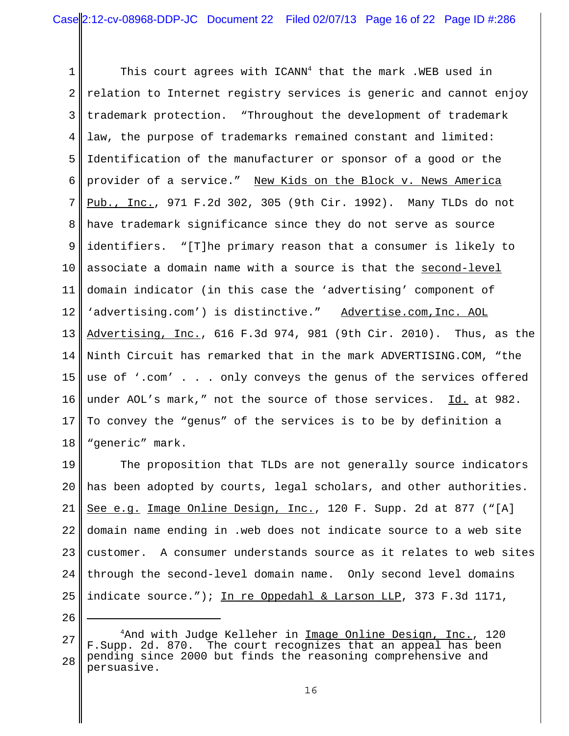1 2 3 4 5 6 7 8 9 10 11 12 13 14 15 16 17 18 This court agrees with ICANN<sup>4</sup> that the mark .WEB used in relation to Internet registry services is generic and cannot enjoy trademark protection. "Throughout the development of trademark law, the purpose of trademarks remained constant and limited: Identification of the manufacturer or sponsor of a good or the provider of a service." New Kids on the Block v. News America Pub., Inc., 971 F.2d 302, 305 (9th Cir. 1992). Many TLDs do not have trademark significance since they do not serve as source identifiers. "[T]he primary reason that a consumer is likely to associate a domain name with a source is that the second-level domain indicator (in this case the 'advertising' component of 'advertising.com') is distinctive." Advertise.com,Inc. AOL Advertising, Inc., 616 F.3d 974, 981 (9th Cir. 2010). Thus, as the Ninth Circuit has remarked that in the mark ADVERTISING.COM, "the use of '.com' . . . only conveys the genus of the services offered under AOL's mark," not the source of those services. Id. at 982. To convey the "genus" of the services is to be by definition a "generic" mark.

19 20 21 22 23  $2.4$ 25 The proposition that TLDs are not generally source indicators has been adopted by courts, legal scholars, and other authorities. See e.g. Image Online Design, Inc., 120 F. Supp. 2d at 877 ("[A] domain name ending in .web does not indicate source to a web site customer. A consumer understands source as it relates to web sites through the second-level domain name. Only second level domains indicate source."); In re Oppedahl & Larson LLP, 373 F.3d 1171,

<sup>27</sup> 28 <sup>4</sup>And with Judge Kelleher in <u>Image Online Design, Inc.</u>, 120 F.Supp. 2d. 870. The court recognizes that an appeal has been pending since 2000 but finds the reasoning comprehensive and persuasive.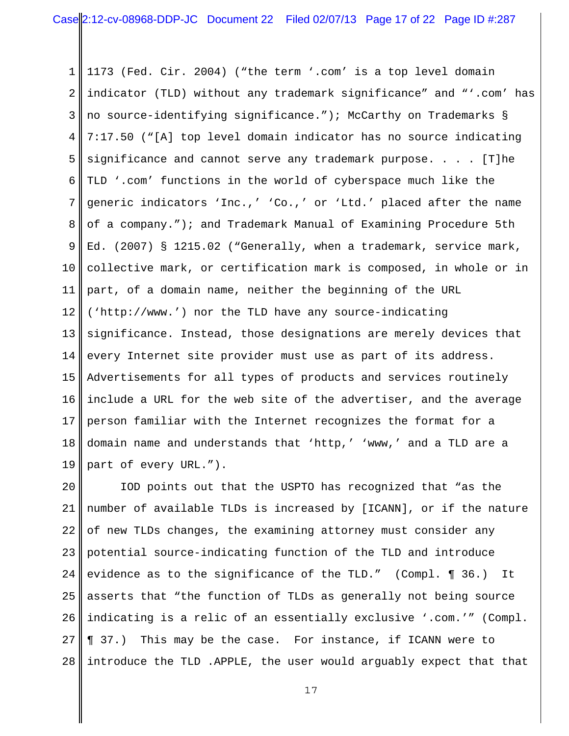1 2 3 4 5 6 7 8 9 10 11 12 13 14 15 16 17 18 19 | 1173 (Fed. Cir. 2004) ("the term '.com' is a top level domain indicator (TLD) without any trademark significance" and "'.com' has no source-identifying significance."); McCarthy on Trademarks § 7:17.50 ("[A] top level domain indicator has no source indicating significance and cannot serve any trademark purpose. . . . [T]he TLD '.com' functions in the world of cyberspace much like the generic indicators 'Inc.,' 'Co.,' or 'Ltd.' placed after the name of a company."); and Trademark Manual of Examining Procedure 5th Ed. (2007) § 1215.02 ("Generally, when a trademark, service mark, collective mark, or certification mark is composed, in whole or in part, of a domain name, neither the beginning of the URL ('http://www.') nor the TLD have any source-indicating significance. Instead, those designations are merely devices that every Internet site provider must use as part of its address. Advertisements for all types of products and services routinely include a URL for the web site of the advertiser, and the average person familiar with the Internet recognizes the format for a domain name and understands that 'http,' 'www,' and a TLD are a part of every URL.").

20 21 22 23 24 25 26 27 28 IOD points out that the USPTO has recognized that "as the number of available TLDs is increased by [ICANN], or if the nature of new TLDs changes, the examining attorney must consider any potential source-indicating function of the TLD and introduce evidence as to the significance of the TLD." (Compl. ¶ 36.) It asserts that "the function of TLDs as generally not being source indicating is a relic of an essentially exclusive '.com.'" (Compl. ¶ 37.) This may be the case. For instance, if ICANN were to introduce the TLD .APPLE, the user would arguably expect that that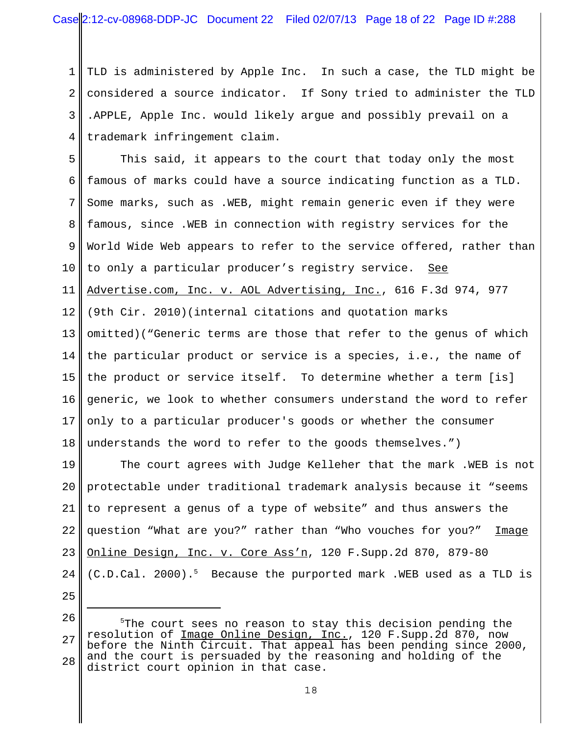1 2 3 4 TLD is administered by Apple Inc. In such a case, the TLD might be considered a source indicator. If Sony tried to administer the TLD .APPLE, Apple Inc. would likely argue and possibly prevail on a trademark infringement claim.

5 6 7 8 9 10 11 12 13 14 15 16 17 18 This said, it appears to the court that today only the most famous of marks could have a source indicating function as a TLD. Some marks, such as .WEB, might remain generic even if they were famous, since .WEB in connection with registry services for the World Wide Web appears to refer to the service offered, rather than to only a particular producer's registry service. See Advertise.com, Inc. v. AOL Advertising, Inc., 616 F.3d 974, 977 (9th Cir. 2010)(internal citations and quotation marks omitted)("Generic terms are those that refer to the genus of which the particular product or service is a species, i.e., the name of the product or service itself. To determine whether a term [is] generic, we look to whether consumers understand the word to refer only to a particular producer's goods or whether the consumer understands the word to refer to the goods themselves.")

19 20 21 22 23  $2.4$ The court agrees with Judge Kelleher that the mark .WEB is not protectable under traditional trademark analysis because it "seems to represent a genus of a type of website" and thus answers the question "What are you?" rather than "Who vouches for you?" Image Online Design, Inc. v. Core Ass'n, 120 F.Supp.2d 870, 879-80 (C.D.Cal. 2000).5 Because the purported mark .WEB used as a TLD is

<sup>26</sup> 27 28 5 The court sees no reason to stay this decision pending the resolution of Image Online Design, Inc., 120 F.Supp.2d 870, now before the Ninth Circuit. That appeal has been pending since 2000, and the court is persuaded by the reasoning and holding of the district court opinion in that case.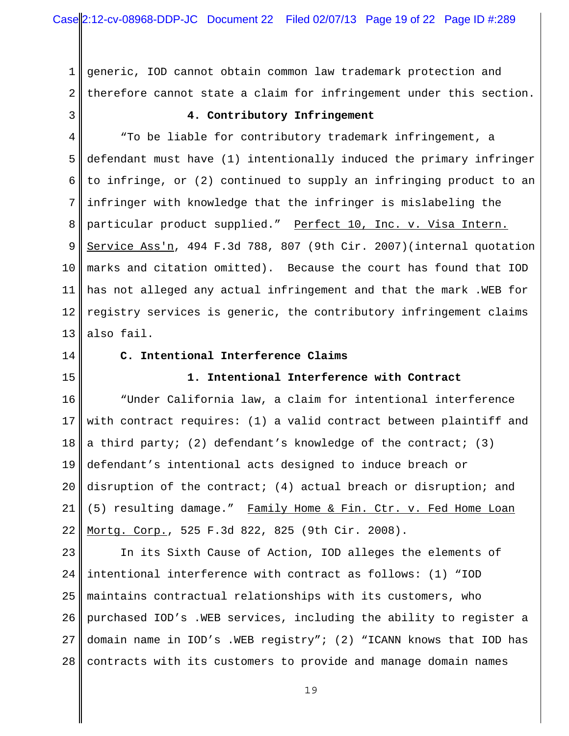1 2 generic, IOD cannot obtain common law trademark protection and therefore cannot state a claim for infringement under this section.

3

### **4. Contributory Infringement**

4 5 6 7 8 9 10 11 12 13 "To be liable for contributory trademark infringement, a defendant must have (1) intentionally induced the primary infringer to infringe, or (2) continued to supply an infringing product to an infringer with knowledge that the infringer is mislabeling the particular product supplied." Perfect 10, Inc. v. Visa Intern. Service Ass'n, 494 F.3d 788, 807 (9th Cir. 2007)(internal quotation marks and citation omitted). Because the court has found that IOD has not alleged any actual infringement and that the mark .WEB for registry services is generic, the contributory infringement claims also fail.

14

15

#### **C. Intentional Interference Claims**

### **1. Intentional Interference with Contract**

16 17 18 19 20 21 22 "Under California law, a claim for intentional interference with contract requires: (1) a valid contract between plaintiff and a third party; (2) defendant's knowledge of the contract; (3) defendant's intentional acts designed to induce breach or disruption of the contract; (4) actual breach or disruption; and (5) resulting damage." Family Home & Fin. Ctr. v. Fed Home Loan Mortg. Corp., 525 F.3d 822, 825 (9th Cir. 2008).

23  $2.4$ 25 26 27 28 In its Sixth Cause of Action, IOD alleges the elements of intentional interference with contract as follows: (1) "IOD maintains contractual relationships with its customers, who purchased IOD's .WEB services, including the ability to register a domain name in IOD's .WEB registry"; (2) "ICANN knows that IOD has contracts with its customers to provide and manage domain names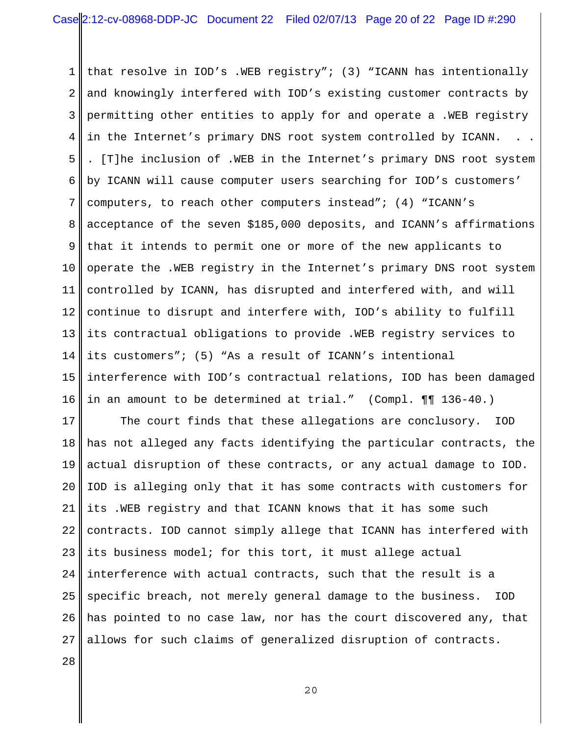1 2 3 4 5 6 7 8 9 10 11 12 13 14 15 16 that resolve in IOD's .WEB registry"; (3) "ICANN has intentionally and knowingly interfered with IOD's existing customer contracts by permitting other entities to apply for and operate a .WEB registry in the Internet's primary DNS root system controlled by ICANN. . [T]he inclusion of .WEB in the Internet's primary DNS root system by ICANN will cause computer users searching for IOD's customers' computers, to reach other computers instead"; (4) "ICANN's acceptance of the seven \$185,000 deposits, and ICANN's affirmations that it intends to permit one or more of the new applicants to operate the .WEB registry in the Internet's primary DNS root system controlled by ICANN, has disrupted and interfered with, and will continue to disrupt and interfere with, IOD's ability to fulfill its contractual obligations to provide .WEB registry services to its customers"; (5) "As a result of ICANN's intentional interference with IOD's contractual relations, IOD has been damaged in an amount to be determined at trial." (Compl. ¶¶ 136-40.)

17 18 19 20 21 22 23  $2.4$ 25 26 27 28 The court finds that these allegations are conclusory. IOD has not alleged any facts identifying the particular contracts, the actual disruption of these contracts, or any actual damage to IOD. IOD is alleging only that it has some contracts with customers for its .WEB registry and that ICANN knows that it has some such contracts. IOD cannot simply allege that ICANN has interfered with its business model; for this tort, it must allege actual interference with actual contracts, such that the result is a specific breach, not merely general damage to the business. IOD has pointed to no case law, nor has the court discovered any, that allows for such claims of generalized disruption of contracts.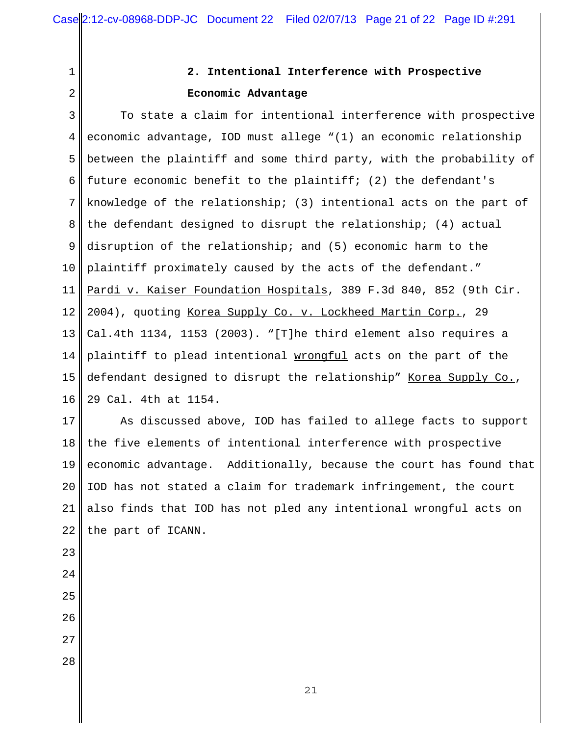1 2

# **2. Intentional Interference with Prospective Economic Advantage**

3 4 5 6 7 8 9 10 11 12 13 14 15 16 To state a claim for intentional interference with prospective economic advantage, IOD must allege "(1) an economic relationship between the plaintiff and some third party, with the probability of future economic benefit to the plaintiff; (2) the defendant's knowledge of the relationship; (3) intentional acts on the part of the defendant designed to disrupt the relationship; (4) actual disruption of the relationship; and (5) economic harm to the plaintiff proximately caused by the acts of the defendant." Pardi v. Kaiser Foundation Hospitals, 389 F.3d 840, 852 (9th Cir. 2004), quoting Korea Supply Co. v. Lockheed Martin Corp., 29 Cal.4th 1134, 1153 (2003). "[T]he third element also requires a plaintiff to plead intentional wrongful acts on the part of the defendant designed to disrupt the relationship" Korea Supply Co., 29 Cal. 4th at 1154.

17 18 19 20 21 22 As discussed above, IOD has failed to allege facts to support the five elements of intentional interference with prospective economic advantage. Additionally, because the court has found that IOD has not stated a claim for trademark infringement, the court also finds that IOD has not pled any intentional wrongful acts on the part of ICANN.

- 23 24 25 26
- 27
- 28